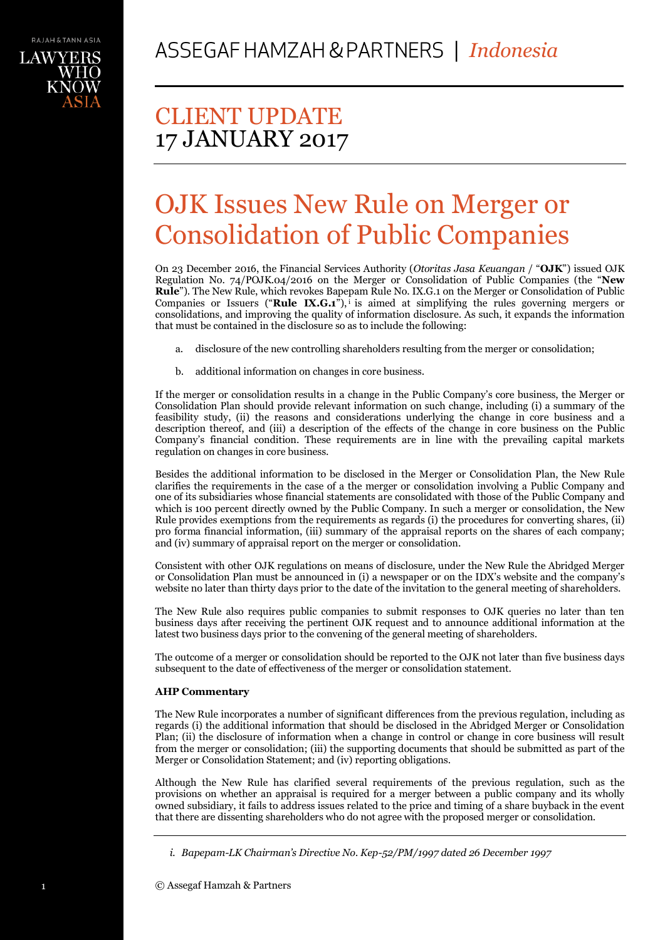

# CLIENT UPDATE 17 JANUARY 2017

# OJK Issues New Rule on Merger or Consolidation of Public Companies

On 23 December 2016, the Financial Services Authority (*Otoritas Jasa Keuangan* / "**OJK**") issued OJK Regulation No. 74/POJK.04/2016 on the Merger or Consolidation of Public Companies (the "**New Rule**"). The New Rule, which revokes Bapepam Rule No. IX.G.1 on the Merger or Consolidation of Public Companies or Issuers ("**Rule IX.G.1**"), is aimed at simplifying the rules governing mergers or consolidations, and improving the quality of information disclosure. As such, it expands the information that must be contained in the disclosure so as to include the following:

- a. disclosure of the new controlling shareholders resulting from the merger or consolidation;
- b. additional information on changes in core business.

If the merger or consolidation results in a change in the Public Company's core business, the Merger or Consolidation Plan should provide relevant information on such change, including (i) a summary of the feasibility study, (ii) the reasons and considerations underlying the change in core business and a description thereof, and (iii) a description of the effects of the change in core business on the Public Company's financial condition. These requirements are in line with the prevailing capital markets regulation on changes in core business.

Besides the additional information to be disclosed in the Merger or Consolidation Plan, the New Rule clarifies the requirements in the case of a the merger or consolidation involving a Public Company and one of its subsidiaries whose financial statements are consolidated with those of the Public Company and which is 100 percent directly owned by the Public Company. In such a merger or consolidation, the New Rule provides exemptions from the requirements as regards (i) the procedures for converting shares, (ii) pro forma financial information, (iii) summary of the appraisal reports on the shares of each company; and (iv) summary of appraisal report on the merger or consolidation.

Consistent with other OJK regulations on means of disclosure, under the New Rule the Abridged Merger or Consolidation Plan must be announced in (i) a newspaper or on the IDX's website and the company's website no later than thirty days prior to the date of the invitation to the general meeting of shareholders.

The New Rule also requires public companies to submit responses to OJK queries no later than ten business days after receiving the pertinent OJK request and to announce additional information at the latest two business days prior to the convening of the general meeting of shareholders.

The outcome of a merger or consolidation should be reported to the OJK not later than five business days subsequent to the date of effectiveness of the merger or consolidation statement.

# **AHP Commentary**

The New Rule incorporates a number of significant differences from the previous regulation, including as regards (i) the additional information that should be disclosed in the Abridged Merger or Consolidation Plan; (ii) the disclosure of information when a change in control or change in core business will result from the merger or consolidation; (iii) the supporting documents that should be submitted as part of the Merger or Consolidation Statement; and (iv) reporting obligations.

Although the New Rule has clarified several requirements of the previous regulation, such as the provisions on whether an appraisal is required for a merger between a public company and its wholly owned subsidiary, it fails to address issues related to the price and timing of a share buyback in the event that there are dissenting shareholders who do not agree with the proposed merger or consolidation.

*i. Bapepam-LK Chairman's Directive No. Kep-52/PM/1997 dated 26 December 1997*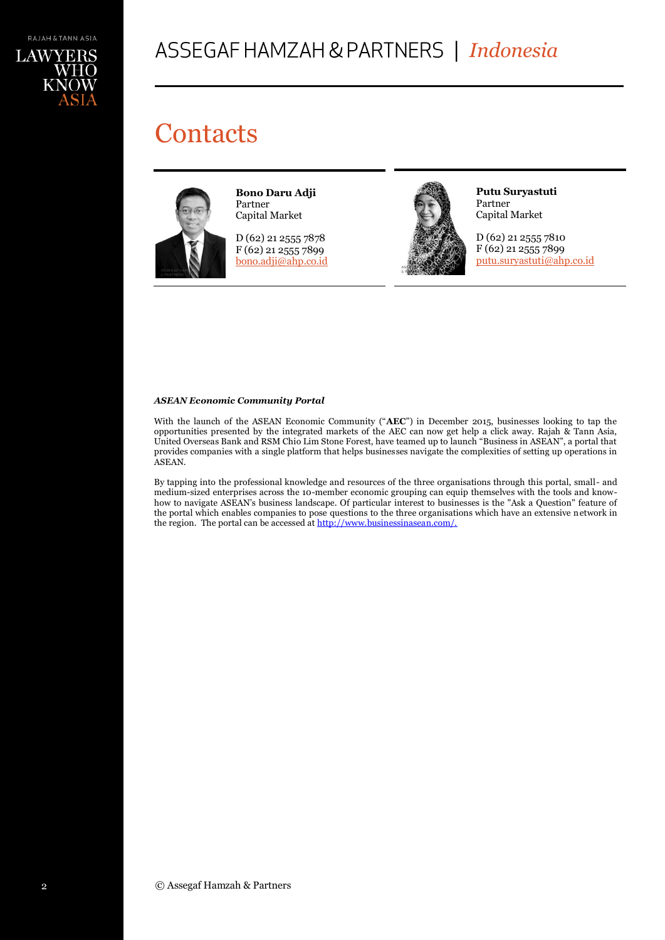

# *Indonesia*

# **Contacts**



**Bono Daru Adji** Partner Capital Market

D (62) 21 2555 7878 F (62) 21 2555 7899 [bono.adji@ahp.co.id](mailto:bono.adji@ahp.co.id)



**Putu Suryastuti** Partner Capital Market

D (62) 21 2555 7810 F (62) 21 2555 7899 [putu.suryastuti@ahp.co.id](mailto:putu.suryastuti@ahp.co.id)

## *ASEAN Economic Community Portal*

With the launch of the ASEAN Economic Community ("**AEC**") in December 2015, businesses looking to tap the opportunities presented by the integrated markets of the AEC can now get help a click away. Rajah & Tann Asia, United Overseas Bank and RSM Chio Lim Stone Forest, have teamed up to launch "Business in ASEAN", a portal that provides companies with a single platform that helps businesses navigate the complexities of setting up operations in ASEAN.

By tapping into the professional knowledge and resources of the three organisations through this portal, small- and medium-sized enterprises across the 10-member economic grouping can equip themselves with the tools and knowhow to navigate ASEAN's business landscape. Of particular interest to businesses is the "Ask a Question" feature of the portal which enables companies to pose questions to the three organisations which have an extensive network in the region. The portal can be accessed at http://www.businessinasean.com/.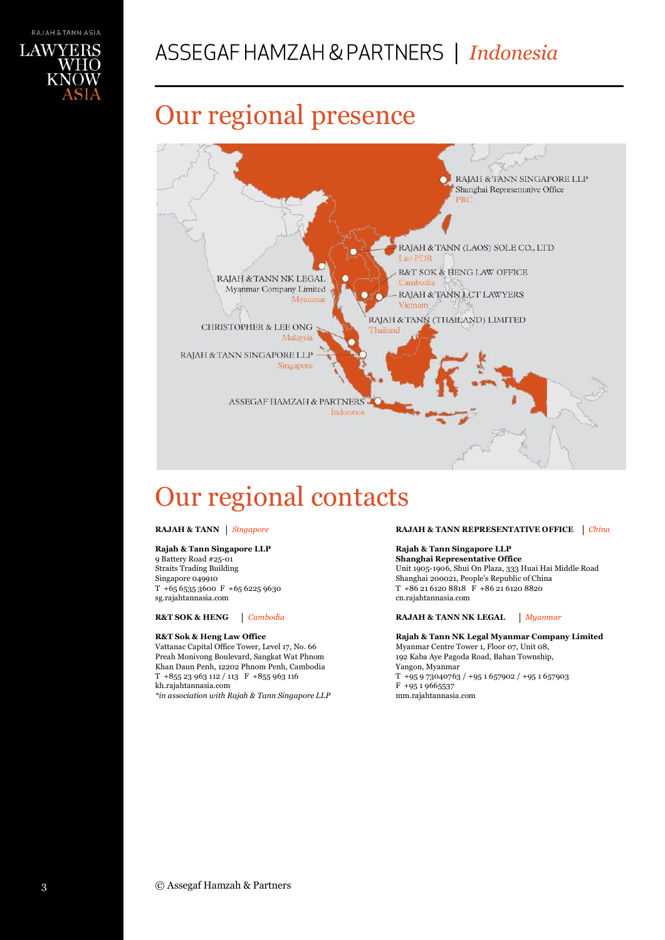

# *Indonesia*

# Our regional presence



# Our regional contacts

## **Rajah & Tann Singapore LLP**

9 Battery Road #25-01 Straits Trading Building Singapore 049910 T +65 6535 3600 F +65 6225 9630 sg.rajahtannasia.com

### **R&T Sok & Heng Law Office**

Vattanac Capital Office Tower, Level 17, No. 66 Preah Monivong Boulevard, Sangkat Wat Phnom Khan Daun Penh, 12202 Phnom Penh, Cambodia T +855 23 963 112 / 113 F +855 963 116 kh.rajahtannasia.com

*\*in association with Rajah & Tann Singapore LLP*

### **RAJAH & TANN** *Singapore* **RAJAH & TANN REPRESENTATIVE OFFICE** *China*

# **Rajah & Tann Singapore LLP**

**Shanghai Representative Office** Unit 1905-1906, Shui On Plaza, 333 Huai Hai Middle Road Shanghai 200021, People's Republic of China T +86 21 6120 8818 F +86 21 6120 8820 cn.rajahtannasia.com

## **R&T SOK & HENG** *Cambodia* **RAJAH & TANN NK LEGAL** *Myanmar*

**Rajah & Tann NK Legal Myanmar Company Limited** Myanmar Centre Tower 1, Floor 07, Unit 08, 192 Kaba Aye Pagoda Road, Bahan Township, Yangon, Myanmar T +95 9 73040763 / +95 1 657902 / +95 1 657903  $F + 9519665537$ mm.rajahtannasia.com